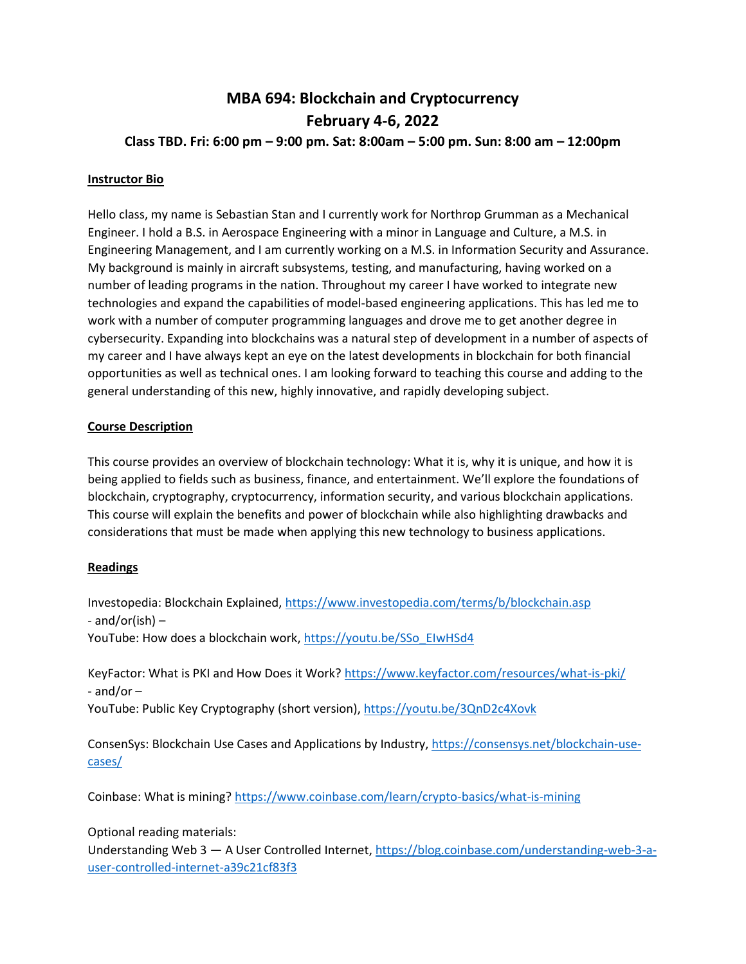# **MBA 694: Blockchain and Cryptocurrency February 4-6, 2022 Class TBD. Fri: 6:00 pm – 9:00 pm. Sat: 8:00am – 5:00 pm. Sun: 8:00 am – 12:00pm**

#### **Instructor Bio**

Hello class, my name is Sebastian Stan and I currently work for Northrop Grumman as a Mechanical Engineer. I hold a B.S. in Aerospace Engineering with a minor in Language and Culture, a M.S. in Engineering Management, and I am currently working on a M.S. in Information Security and Assurance. My background is mainly in aircraft subsystems, testing, and manufacturing, having worked on a number of leading programs in the nation. Throughout my career I have worked to integrate new technologies and expand the capabilities of model-based engineering applications. This has led me to work with a number of computer programming languages and drove me to get another degree in cybersecurity. Expanding into blockchains was a natural step of development in a number of aspects of my career and I have always kept an eye on the latest developments in blockchain for both financial opportunities as well as technical ones. I am looking forward to teaching this course and adding to the general understanding of this new, highly innovative, and rapidly developing subject.

#### **Course Description**

This course provides an overview of blockchain technology: What it is, why it is unique, and how it is being applied to fields such as business, finance, and entertainment. We'll explore the foundations of blockchain, cryptography, cryptocurrency, information security, and various blockchain applications. This course will explain the benefits and power of blockchain while also highlighting drawbacks and considerations that must be made when applying this new technology to business applications.

#### **Readings**

Investopedia: Blockchain Explained,<https://www.investopedia.com/terms/b/blockchain.asp> - and/or(ish)  $-$ 

YouTube: How does a blockchain work, [https://youtu.be/SSo\\_EIwHSd4](https://youtu.be/SSo_EIwHSd4)

KeyFactor: What is PKI and How Does it Work[? https://www.keyfactor.com/resources/what-is-pki/](https://www.keyfactor.com/resources/what-is-pki/) - and/or –

YouTube: Public Key Cryptography (short version)[, https://youtu.be/3QnD2c4Xovk](https://youtu.be/3QnD2c4Xovk)

ConsenSys: Blockchain Use Cases and Applications by Industry[, https://consensys.net/blockchain-use](https://consensys.net/blockchain-use-cases/)[cases/](https://consensys.net/blockchain-use-cases/)

Coinbase: What is mining[? https://www.coinbase.com/learn/crypto-basics/what-is-mining](https://www.coinbase.com/learn/crypto-basics/what-is-mining)

#### Optional reading materials:

Understanding Web 3 — A User Controlled Internet, [https://blog.coinbase.com/understanding-web-3-a](https://blog.coinbase.com/understanding-web-3-a-user-controlled-internet-a39c21cf83f3)[user-controlled-internet-a39c21cf83f3](https://blog.coinbase.com/understanding-web-3-a-user-controlled-internet-a39c21cf83f3)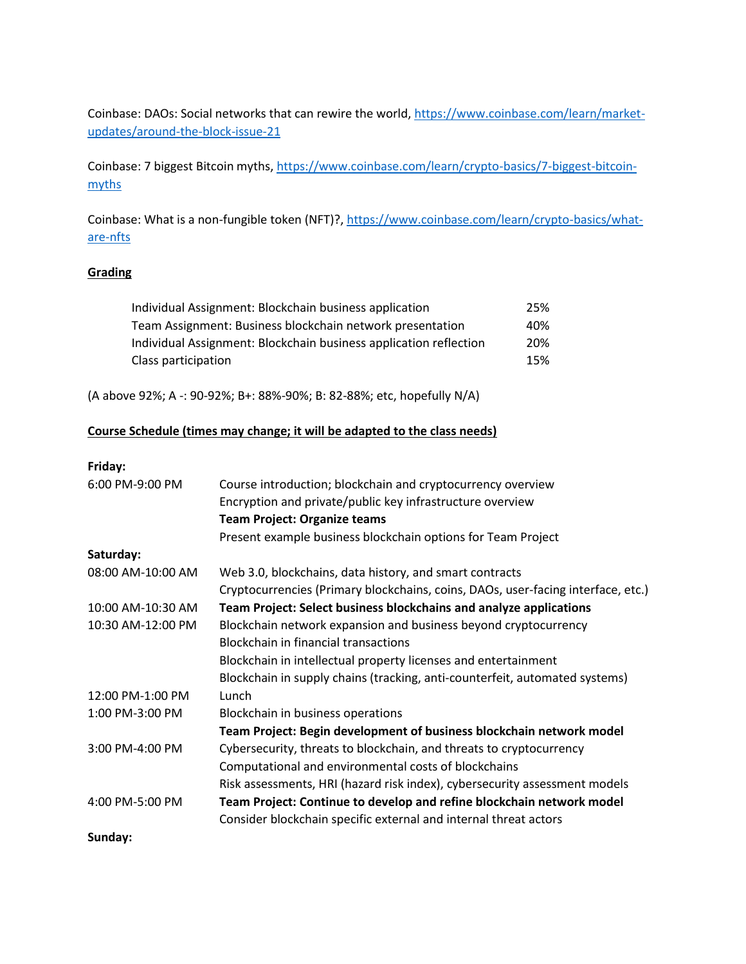Coinbase: DAOs: Social networks that can rewire the world, [https://www.coinbase.com/learn/market](https://www.coinbase.com/learn/market-updates/around-the-block-issue-21)[updates/around-the-block-issue-21](https://www.coinbase.com/learn/market-updates/around-the-block-issue-21)

Coinbase: 7 biggest Bitcoin myths, [https://www.coinbase.com/learn/crypto-basics/7-biggest-bitcoin](https://www.coinbase.com/learn/crypto-basics/7-biggest-bitcoin-myths)[myths](https://www.coinbase.com/learn/crypto-basics/7-biggest-bitcoin-myths)

Coinbase: What is a non-fungible token (NFT)?[, https://www.coinbase.com/learn/crypto-basics/what](https://www.coinbase.com/learn/crypto-basics/what-are-nfts)[are-nfts](https://www.coinbase.com/learn/crypto-basics/what-are-nfts)

## **Grading**

| Individual Assignment: Blockchain business application            | 25% |
|-------------------------------------------------------------------|-----|
| Team Assignment: Business blockchain network presentation         | 40% |
| Individual Assignment: Blockchain business application reflection | 20% |
| Class participation                                               | 15% |

(A above 92%; A -: 90-92%; B+: 88%-90%; B: 82-88%; etc, hopefully N/A)

#### **Course Schedule (times may change; it will be adapted to the class needs)**

#### **Friday:**

| 6:00 PM-9:00 PM   | Course introduction; blockchain and cryptocurrency overview                      |
|-------------------|----------------------------------------------------------------------------------|
|                   | Encryption and private/public key infrastructure overview                        |
|                   | <b>Team Project: Organize teams</b>                                              |
|                   | Present example business blockchain options for Team Project                     |
| Saturday:         |                                                                                  |
| 08:00 AM-10:00 AM | Web 3.0, blockchains, data history, and smart contracts                          |
|                   | Cryptocurrencies (Primary blockchains, coins, DAOs, user-facing interface, etc.) |
| 10:00 AM-10:30 AM | Team Project: Select business blockchains and analyze applications               |
| 10:30 AM-12:00 PM | Blockchain network expansion and business beyond cryptocurrency                  |
|                   | <b>Blockchain in financial transactions</b>                                      |
|                   | Blockchain in intellectual property licenses and entertainment                   |
|                   | Blockchain in supply chains (tracking, anti-counterfeit, automated systems)      |
| 12:00 PM-1:00 PM  | Lunch                                                                            |
| 1:00 PM-3:00 PM   | Blockchain in business operations                                                |
|                   | Team Project: Begin development of business blockchain network model             |
| 3:00 PM-4:00 PM   | Cybersecurity, threats to blockchain, and threats to cryptocurrency              |
|                   | Computational and environmental costs of blockchains                             |
|                   | Risk assessments, HRI (hazard risk index), cybersecurity assessment models       |
| 4:00 PM-5:00 PM   | Team Project: Continue to develop and refine blockchain network model            |
|                   | Consider blockchain specific external and internal threat actors                 |
| Sunday:           |                                                                                  |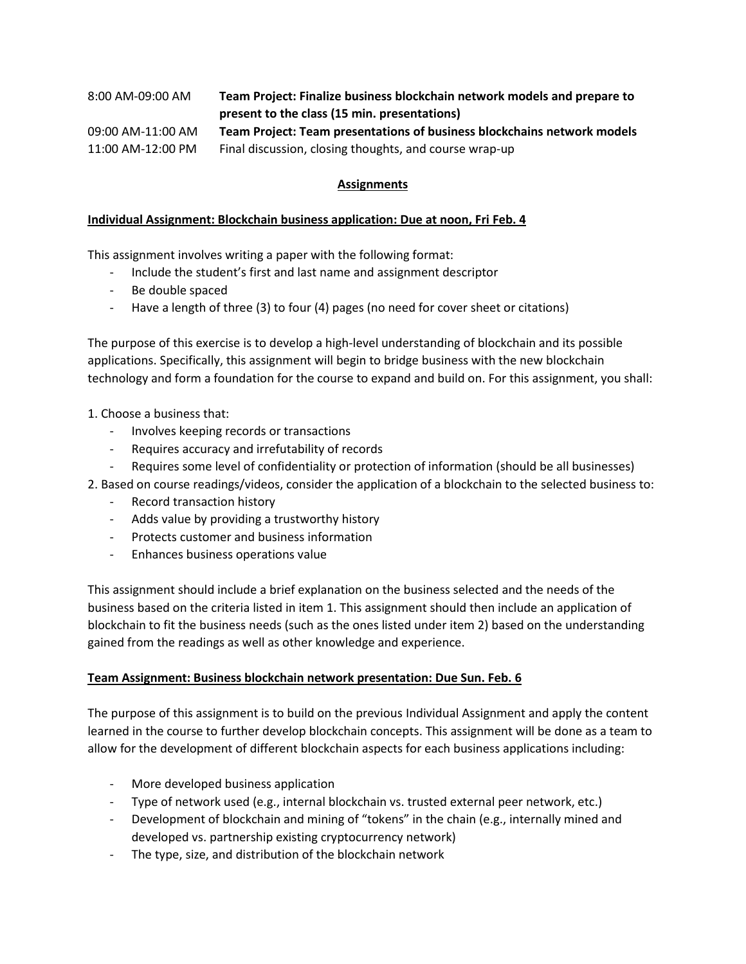| 8:00 AM-09:00 AM  | Team Project: Finalize business blockchain network models and prepare to |
|-------------------|--------------------------------------------------------------------------|
|                   | present to the class (15 min. presentations)                             |
| 09:00 AM-11:00 AM | Team Project: Team presentations of business blockchains network models  |
| 11:00 AM-12:00 PM | Final discussion, closing thoughts, and course wrap-up                   |

#### **Assignments**

#### **Individual Assignment: Blockchain business application: Due at noon, Fri Feb. 4**

This assignment involves writing a paper with the following format:

- Include the student's first and last name and assignment descriptor
- Be double spaced
- Have a length of three (3) to four (4) pages (no need for cover sheet or citations)

The purpose of this exercise is to develop a high-level understanding of blockchain and its possible applications. Specifically, this assignment will begin to bridge business with the new blockchain technology and form a foundation for the course to expand and build on. For this assignment, you shall:

- 1. Choose a business that:
	- Involves keeping records or transactions
	- Requires accuracy and irrefutability of records
	- Requires some level of confidentiality or protection of information (should be all businesses)
- 2. Based on course readings/videos, consider the application of a blockchain to the selected business to:
	- Record transaction history
	- Adds value by providing a trustworthy history
	- Protects customer and business information
	- Enhances business operations value

This assignment should include a brief explanation on the business selected and the needs of the business based on the criteria listed in item 1. This assignment should then include an application of blockchain to fit the business needs (such as the ones listed under item 2) based on the understanding gained from the readings as well as other knowledge and experience.

#### **Team Assignment: Business blockchain network presentation: Due Sun. Feb. 6**

The purpose of this assignment is to build on the previous Individual Assignment and apply the content learned in the course to further develop blockchain concepts. This assignment will be done as a team to allow for the development of different blockchain aspects for each business applications including:

- More developed business application
- Type of network used (e.g., internal blockchain vs. trusted external peer network, etc.)
- Development of blockchain and mining of "tokens" in the chain (e.g., internally mined and developed vs. partnership existing cryptocurrency network)
- The type, size, and distribution of the blockchain network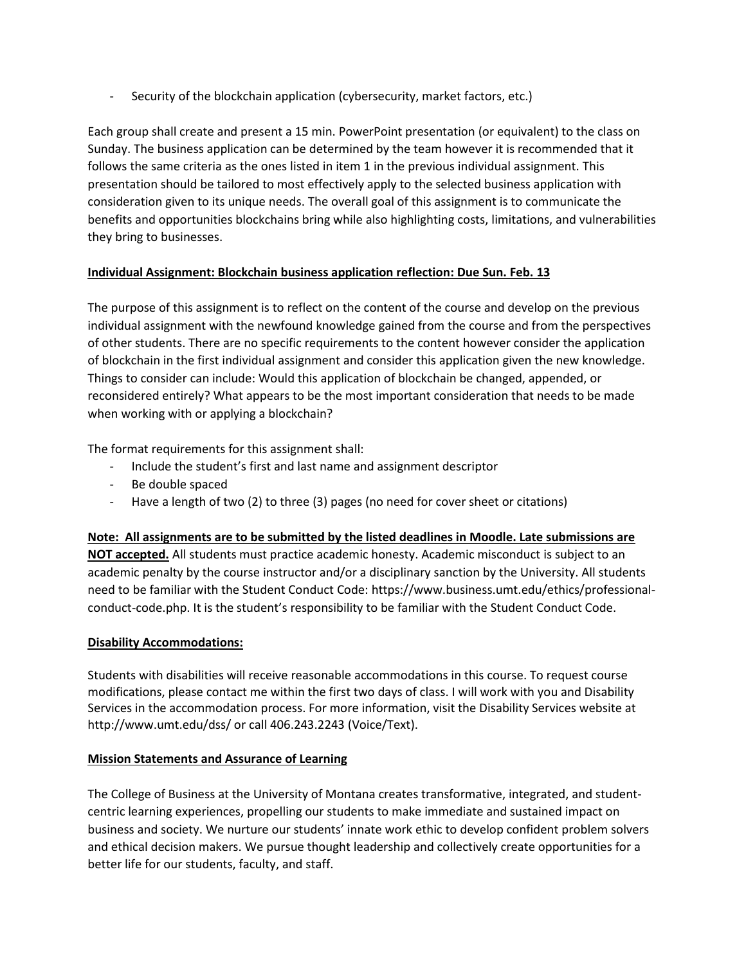Security of the blockchain application (cybersecurity, market factors, etc.)

Each group shall create and present a 15 min. PowerPoint presentation (or equivalent) to the class on Sunday. The business application can be determined by the team however it is recommended that it follows the same criteria as the ones listed in item 1 in the previous individual assignment. This presentation should be tailored to most effectively apply to the selected business application with consideration given to its unique needs. The overall goal of this assignment is to communicate the benefits and opportunities blockchains bring while also highlighting costs, limitations, and vulnerabilities they bring to businesses.

## **Individual Assignment: Blockchain business application reflection: Due Sun. Feb. 13**

The purpose of this assignment is to reflect on the content of the course and develop on the previous individual assignment with the newfound knowledge gained from the course and from the perspectives of other students. There are no specific requirements to the content however consider the application of blockchain in the first individual assignment and consider this application given the new knowledge. Things to consider can include: Would this application of blockchain be changed, appended, or reconsidered entirely? What appears to be the most important consideration that needs to be made when working with or applying a blockchain?

The format requirements for this assignment shall:

- Include the student's first and last name and assignment descriptor
- Be double spaced
- Have a length of two (2) to three (3) pages (no need for cover sheet or citations)

**Note: All assignments are to be submitted by the listed deadlines in Moodle. Late submissions are NOT accepted.** All students must practice academic honesty. Academic misconduct is subject to an academic penalty by the course instructor and/or a disciplinary sanction by the University. All students need to be familiar with the Student Conduct Code: [https://www.business.umt.edu/ethics/professional](https://www.business.umt.edu/ethics/professional-conduct-code.php)[conduct-code.php.](https://www.business.umt.edu/ethics/professional-conduct-code.php) It is the student's responsibility to be familiar with the Student Conduct Code.

#### **Disability Accommodations:**

Students with disabilities will receive reasonable accommodations in this course. To request course modifications, please contact me within the first two days of class. I will work with you and Disability Services in the accommodation process. For more information, visit the Disability Services website at <http://www.umt.edu/dss/> or call 406.243.2243 (Voice/Text).

#### **Mission Statements and Assurance of Learning**

The College of Business at the University of Montana creates transformative, integrated, and studentcentric learning experiences, propelling our students to make immediate and sustained impact on business and society. We nurture our students' innate work ethic to develop confident problem solvers and ethical decision makers. We pursue thought leadership and collectively create opportunities for a better life for our students, faculty, and staff.